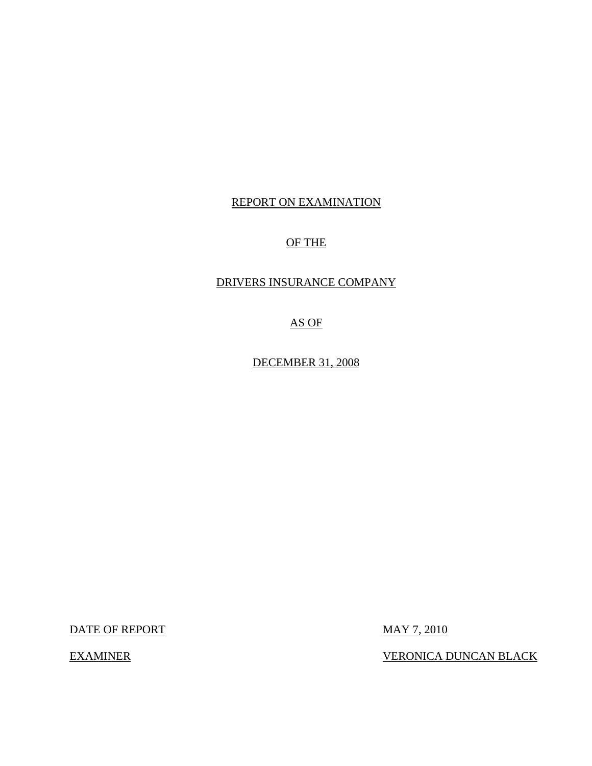## REPORT ON EXAMINATION

## OF THE

## DRIVERS INSURANCE COMPANY

AS OF

DECEMBER 31, 2008

DATE OF REPORT MAY 7, 2010

EXAMINER VERONICA DUNCAN BLACK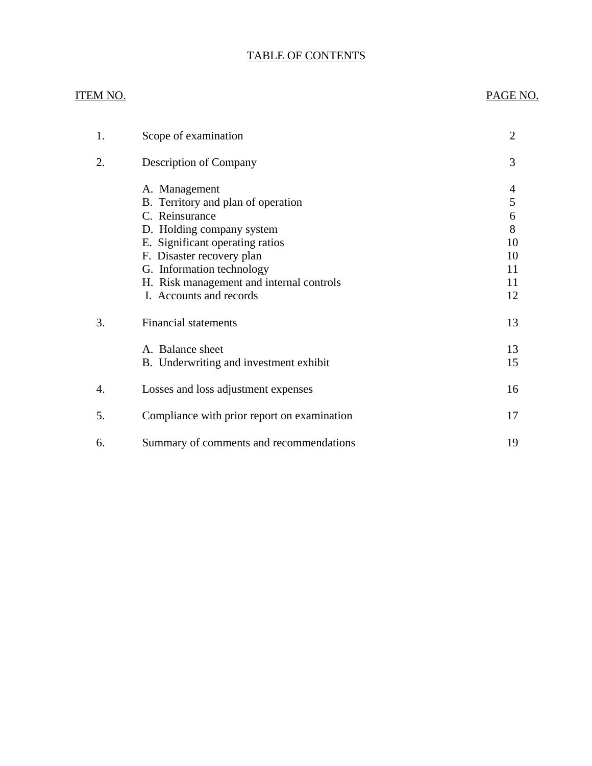## TABLE OF CONTENTS

## ITEM NO. PAGE NO.

| 1. | Scope of examination                                 | $\overline{2}$ |
|----|------------------------------------------------------|----------------|
| 2. | Description of Company                               | 3              |
|    | A. Management                                        | 4              |
|    | B. Territory and plan of operation<br>C. Reinsurance | 5<br>6         |
|    | D. Holding company system                            | 8              |
|    | E. Significant operating ratios                      | 10             |
|    | F. Disaster recovery plan                            | 10             |
|    | G. Information technology                            | 11             |
|    | H. Risk management and internal controls             | 11             |
|    | I. Accounts and records                              | 12             |
| 3. | <b>Financial statements</b>                          | 13             |
|    | A. Balance sheet                                     | 13             |
|    | B. Underwriting and investment exhibit               | 15             |
| 4. | Losses and loss adjustment expenses                  | 16             |
| 5. | Compliance with prior report on examination          | 17             |
| 6. | Summary of comments and recommendations              | 19             |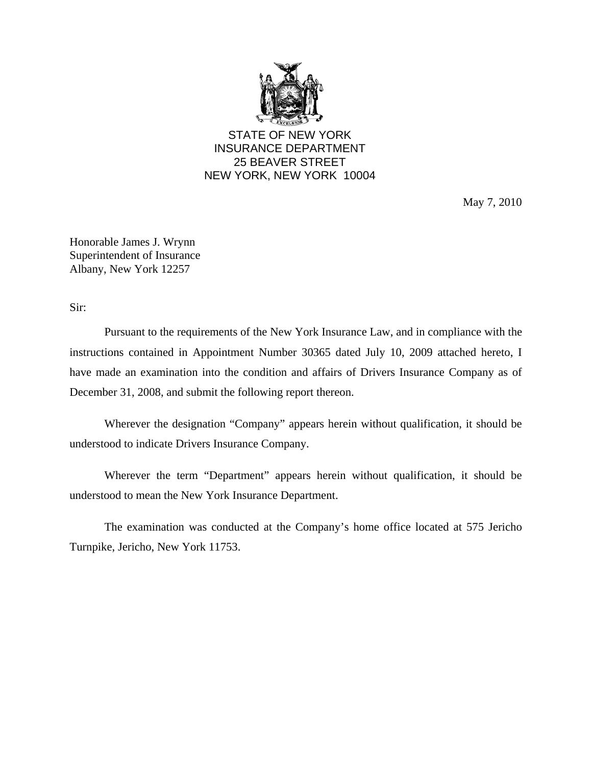

STATE OF NEW YORK INSURANCE DEPARTMENT 25 BEAVER STREET NEW YORK, NEW YORK 10004

May 7, 2010

Honorable James J. Wrynn Superintendent of Insurance Albany, New York 12257

Sir:

Pursuant to the requirements of the New York Insurance Law, and in compliance with the instructions contained in Appointment Number 30365 dated July 10, 2009 attached hereto, I have made an examination into the condition and affairs of Drivers Insurance Company as of December 31, 2008, and submit the following report thereon.

Wherever the designation "Company" appears herein without qualification, it should be understood to indicate Drivers Insurance Company.

Wherever the term "Department" appears herein without qualification, it should be understood to mean the New York Insurance Department.

The examination was conducted at the Company's home office located at 575 Jericho Turnpike, Jericho, New York 11753.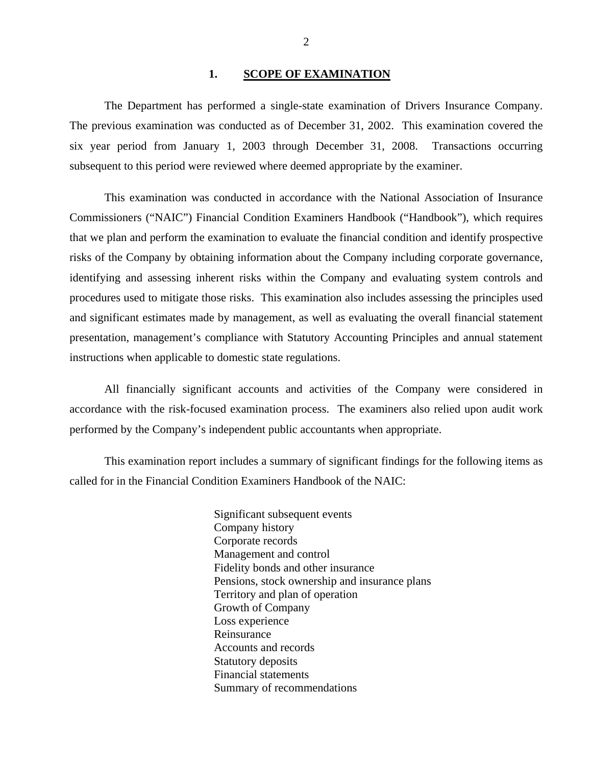#### 1. SCOPE OF EXAMINATION

<span id="page-3-0"></span>The Department has performed a single-state examination of Drivers Insurance Company. The previous examination was conducted as of December 31, 2002. This examination covered the six year period from January 1, 2003 through December 31, 2008. Transactions occurring subsequent to this period were reviewed where deemed appropriate by the examiner.

This examination was conducted in accordance with the National Association of Insurance Commissioners ("NAIC") Financial Condition Examiners Handbook ("Handbook"), which requires that we plan and perform the examination to evaluate the financial condition and identify prospective risks of the Company by obtaining information about the Company including corporate governance, identifying and assessing inherent risks within the Company and evaluating system controls and procedures used to mitigate those risks. This examination also includes assessing the principles used and significant estimates made by management, as well as evaluating the overall financial statement presentation, management's compliance with Statutory Accounting Principles and annual statement instructions when applicable to domestic state regulations.

All financially significant accounts and activities of the Company were considered in accordance with the risk-focused examination process. The examiners also relied upon audit work performed by the Company's independent public accountants when appropriate.

This examination report includes a summary of significant findings for the following items as called for in the Financial Condition Examiners Handbook of the NAIC:

> Significant subsequent events Company history Corporate records Management and control Fidelity bonds and other insurance Pensions, stock ownership and insurance plans Territory and plan of operation Growth of Company Loss experience Reinsurance Accounts and records Statutory deposits Financial statements Summary of recommendations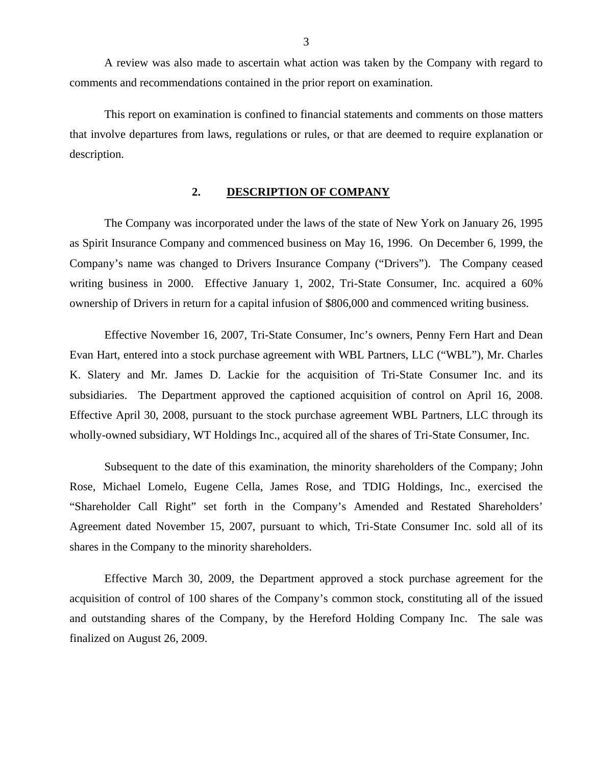<span id="page-4-0"></span>A review was also made to ascertain what action was taken by the Company with regard to comments and recommendations contained in the prior report on examination.

This report on examination is confined to financial statements and comments on those matters that involve departures from laws, regulations or rules, or that are deemed to require explanation or description.

### **2. DESCRIPTION OF COMPANY**

The Company was incorporated under the laws of the state of New York on January 26, 1995 as Spirit Insurance Company and commenced business on May 16, 1996. On December 6, 1999, the Company's name was changed to Drivers Insurance Company ("Drivers"). The Company ceased writing business in 2000. Effective January 1, 2002, Tri-State Consumer, Inc. acquired a 60% ownership of Drivers in return for a capital infusion of \$806,000 and commenced writing business.

Effective November 16, 2007, Tri-State Consumer, Inc's owners, Penny Fern Hart and Dean Evan Hart, entered into a stock purchase agreement with WBL Partners, LLC ("WBL"), Mr. Charles K. Slatery and Mr. James D. Lackie for the acquisition of Tri-State Consumer Inc. and its subsidiaries. The Department approved the captioned acquisition of control on April 16, 2008. Effective April 30, 2008, pursuant to the stock purchase agreement WBL Partners, LLC through its wholly-owned subsidiary, WT Holdings Inc., acquired all of the shares of Tri-State Consumer, Inc.

Subsequent to the date of this examination, the minority shareholders of the Company; John Rose, Michael Lomelo, Eugene Cella, James Rose, and TDIG Holdings, Inc., exercised the "Shareholder Call Right" set forth in the Company's Amended and Restated Shareholders' Agreement dated November 15, 2007, pursuant to which, Tri-State Consumer Inc. sold all of its shares in the Company to the minority shareholders.

Effective March 30, 2009, the Department approved a stock purchase agreement for the acquisition of control of 100 shares of the Company's common stock, constituting all of the issued and outstanding shares of the Company, by the Hereford Holding Company Inc. The sale was finalized on August 26, 2009.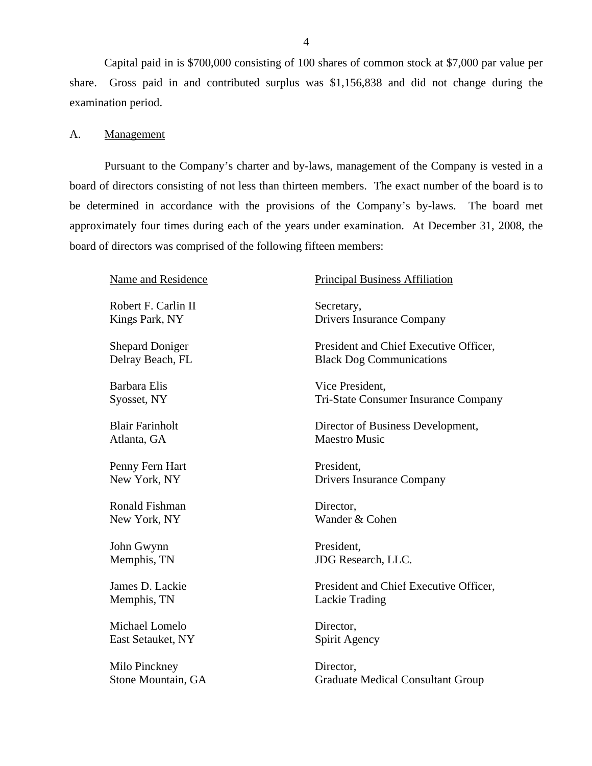<span id="page-5-0"></span>Capital paid in is \$700,000 consisting of 100 shares of common stock at \$7,000 par value per share. Gross paid in and contributed surplus was \$1,156,838 and did not change during the examination period.

### A. Management

Pursuant to the Company's charter and by-laws, management of the Company is vested in a board of directors consisting of not less than thirteen members. The exact number of the board is to be determined in accordance with the provisions of the Company's by-laws. The board met approximately four times during each of the years under examination. At December 31, 2008, the board of directors was comprised of the following fifteen members:

| Name and Residence     | <b>Principal Business Affiliation</b>    |
|------------------------|------------------------------------------|
| Robert F. Carlin II    | Secretary,                               |
| Kings Park, NY         | <b>Drivers Insurance Company</b>         |
| <b>Shepard Doniger</b> | President and Chief Executive Officer,   |
| Delray Beach, FL       | <b>Black Dog Communications</b>          |
| Barbara Elis           | Vice President,                          |
| Syosset, NY            | Tri-State Consumer Insurance Company     |
| <b>Blair Farinholt</b> | Director of Business Development,        |
| Atlanta, GA            | <b>Maestro Music</b>                     |
| Penny Fern Hart        | President,                               |
| New York, NY           | Drivers Insurance Company                |
| Ronald Fishman         | Director,                                |
| New York, NY           | Wander & Cohen                           |
| John Gwynn             | President,                               |
| Memphis, TN            | JDG Research, LLC.                       |
| James D. Lackie        | President and Chief Executive Officer,   |
| Memphis, TN            | Lackie Trading                           |
| Michael Lomelo         | Director,                                |
| East Setauket, NY      | Spirit Agency                            |
| Milo Pinckney          | Director,                                |
| Stone Mountain, GA     | <b>Graduate Medical Consultant Group</b> |
|                        |                                          |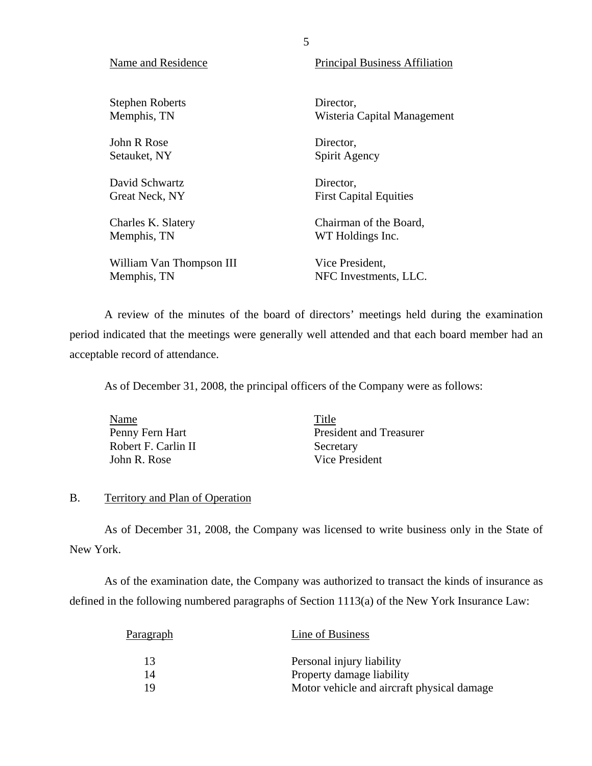Stephen Roberts Director, Memphis, TN Wisteria Capital Management John R Rose Director, Setauket, NY Spirit Agency David Schwartz Director, Great Neck, NY First Capital Equities Charles K. Slatery Chairman of the Board, Memphis, TN WT Holdings Inc. William Van Thompson III Vice President, Memphis, TN NFC Investments, LLC.

A review of the minutes of the board of directors' meetings held during the examination period indicated that the meetings were generally well attended and that each board member had an acceptable record of attendance.

As of December 31, 2008, the principal officers of the Company were as follows:

Name Title Penny Fern Hart President and Treasurer Robert F. Carlin II Secretary John R. Rose Vice President

## B. Territory and Plan of Operation

As of December 31, 2008, the Company was licensed to write business only in the State of New York.

As of the examination date, the Company was authorized to transact the kinds of insurance as defined in the following numbered paragraphs of Section 1113(a) of the New York Insurance Law:

| <b>Paragraph</b> | Line of Business                           |
|------------------|--------------------------------------------|
| 13               | Personal injury liability                  |
| 14               | Property damage liability                  |
| 19               | Motor vehicle and aircraft physical damage |

#### <span id="page-6-0"></span>Name and Residence Principal Business Affiliation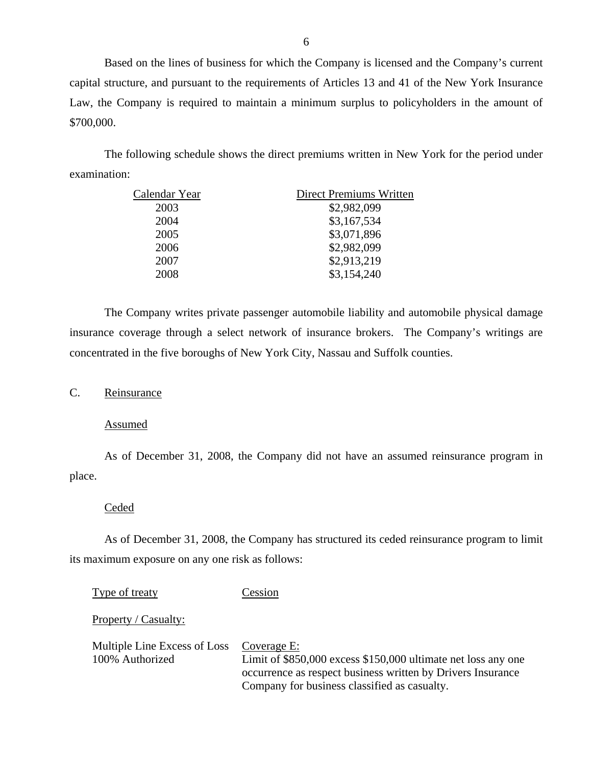<span id="page-7-0"></span>Based on the lines of business for which the Company is licensed and the Company's current capital structure, and pursuant to the requirements of Articles 13 and 41 of the New York Insurance Law, the Company is required to maintain a minimum surplus to policyholders in the amount of \$700,000.

The following schedule shows the direct premiums written in New York for the period under examination:

| <b>Direct Premiums Written</b> |
|--------------------------------|
| \$2,982,099                    |
| \$3,167,534                    |
| \$3,071,896                    |
| \$2,982,099                    |
| \$2,913,219                    |
| \$3,154,240                    |
|                                |

The Company writes private passenger automobile liability and automobile physical damage insurance coverage through a select network of insurance brokers. The Company's writings are concentrated in the five boroughs of New York City, Nassau and Suffolk counties.

C. Reinsurance

Assumed

As of December 31, 2008, the Company did not have an assumed reinsurance program in place.

#### **Ceded**

As of December 31, 2008, the Company has structured its ceded reinsurance program to limit its maximum exposure on any one risk as follows:

Type of treaty Cession Property / Casualty: Multiple Line Excess of Loss Coverage E:

100% Authorized Limit of \$850,000 excess \$150,000 ultimate net loss any one occurrence as respect business written by Drivers Insurance Company for business classified as casualty.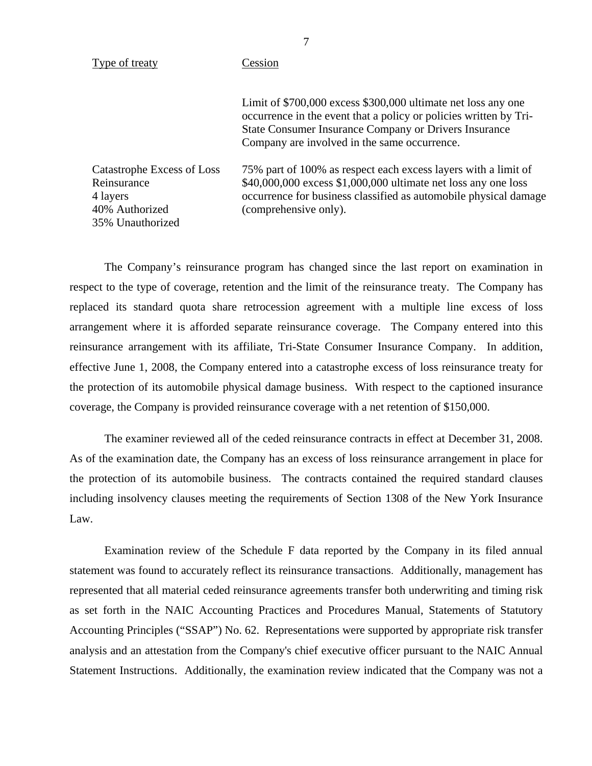Type of treaty Cession

Limit of \$700,000 excess \$300,000 ultimate net loss any one occurrence in the event that a policy or policies written by Tri-State Consumer Insurance Company or Drivers Insurance Company are involved in the same occurrence.

40% Authorized (comprehensive only). 35% Unauthorized

Catastrophe Excess of Loss 75% part of 100% as respect each excess layers with a limit of Reinsurance \$40,000,000 excess \$1,000,000 ultimate net loss any one loss 4 layers occurrence for business classified as automobile physical damage

The Company's reinsurance program has changed since the last report on examination in respect to the type of coverage, retention and the limit of the reinsurance treaty. The Company has replaced its standard quota share retrocession agreement with a multiple line excess of loss arrangement where it is afforded separate reinsurance coverage. The Company entered into this reinsurance arrangement with its affiliate, Tri-State Consumer Insurance Company. In addition, effective June 1, 2008, the Company entered into a catastrophe excess of loss reinsurance treaty for the protection of its automobile physical damage business. With respect to the captioned insurance coverage, the Company is provided reinsurance coverage with a net retention of \$150,000.

The examiner reviewed all of the ceded reinsurance contracts in effect at December 31, 2008. As of the examination date, the Company has an excess of loss reinsurance arrangement in place for the protection of its automobile business. The contracts contained the required standard clauses including insolvency clauses meeting the requirements of Section 1308 of the New York Insurance Law.

Examination review of the Schedule F data reported by the Company in its filed annual statement was found to accurately reflect its reinsurance transactions. Additionally, management has represented that all material ceded reinsurance agreements transfer both underwriting and timing risk as set forth in the NAIC Accounting Practices and Procedures Manual, Statements of Statutory Accounting Principles ("SSAP") No. 62. Representations were supported by appropriate risk transfer analysis and an attestation from the Company's chief executive officer pursuant to the NAIC Annual Statement Instructions. Additionally, the examination review indicated that the Company was not a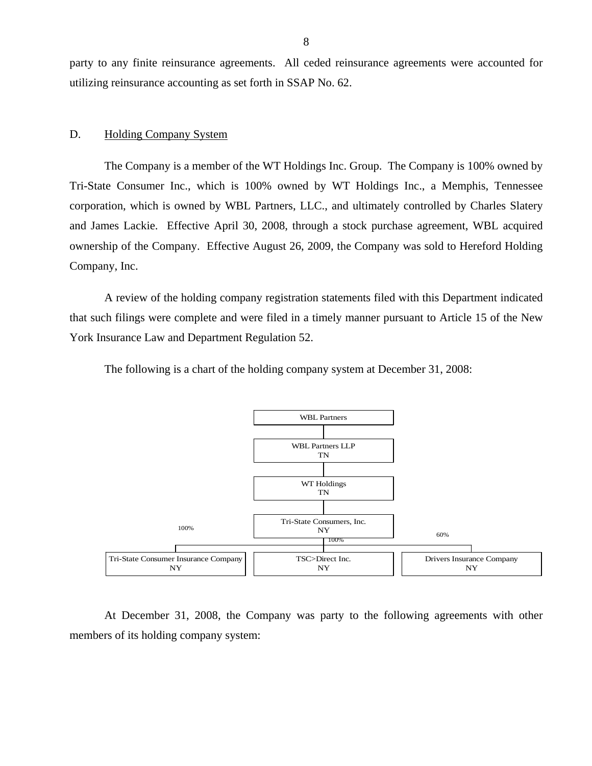party to any finite reinsurance agreements. All ceded reinsurance agreements were accounted for utilizing reinsurance accounting as set forth in SSAP No. 62.

### D. Holding Company System

The Company is a member of the WT Holdings Inc. Group. The Company is 100% owned by Tri-State Consumer Inc., which is 100% owned by WT Holdings Inc., a Memphis, Tennessee corporation, which is owned by WBL Partners, LLC., and ultimately controlled by Charles Slatery and James Lackie. Effective April 30, 2008, through a stock purchase agreement, WBL acquired ownership of the Company. Effective August 26, 2009, the Company was sold to Hereford Holding Company, Inc.

A review of the holding company registration statements filed with this Department indicated that such filings were complete and were filed in a timely manner pursuant to Article 15 of the New York Insurance Law and Department Regulation 52.

The following is a chart of the holding company system at December 31, 2008:



At December 31, 2008, the Company was party to the following agreements with other members of its holding company system: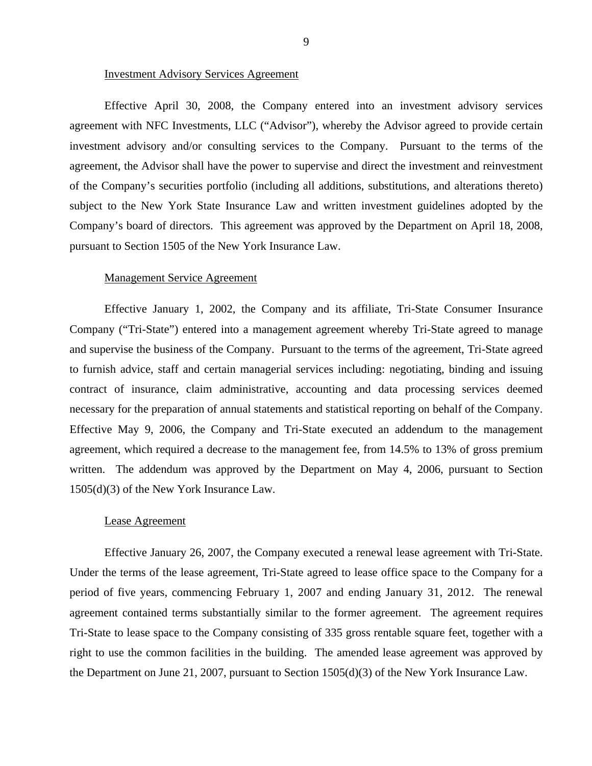#### Investment Advisory Services Agreement

Effective April 30, 2008, the Company entered into an investment advisory services agreement with NFC Investments, LLC ("Advisor"), whereby the Advisor agreed to provide certain investment advisory and/or consulting services to the Company. Pursuant to the terms of the agreement, the Advisor shall have the power to supervise and direct the investment and reinvestment of the Company's securities portfolio (including all additions, substitutions, and alterations thereto) subject to the New York State Insurance Law and written investment guidelines adopted by the Company's board of directors. This agreement was approved by the Department on April 18, 2008, pursuant to Section 1505 of the New York Insurance Law.

#### Management Service Agreement

Effective January 1, 2002, the Company and its affiliate, Tri-State Consumer Insurance Company ("Tri-State") entered into a management agreement whereby Tri-State agreed to manage and supervise the business of the Company. Pursuant to the terms of the agreement, Tri-State agreed to furnish advice, staff and certain managerial services including: negotiating, binding and issuing contract of insurance, claim administrative, accounting and data processing services deemed necessary for the preparation of annual statements and statistical reporting on behalf of the Company. Effective May 9, 2006, the Company and Tri-State executed an addendum to the management agreement, which required a decrease to the management fee, from 14.5% to 13% of gross premium written. The addendum was approved by the Department on May 4, 2006, pursuant to Section 1505(d)(3) of the New York Insurance Law.

#### Lease Agreement

Effective January 26, 2007, the Company executed a renewal lease agreement with Tri-State. Under the terms of the lease agreement, Tri-State agreed to lease office space to the Company for a period of five years, commencing February 1, 2007 and ending January 31, 2012. The renewal agreement contained terms substantially similar to the former agreement. The agreement requires Tri-State to lease space to the Company consisting of 335 gross rentable square feet, together with a right to use the common facilities in the building. The amended lease agreement was approved by the Department on June 21, 2007, pursuant to Section 1505(d)(3) of the New York Insurance Law.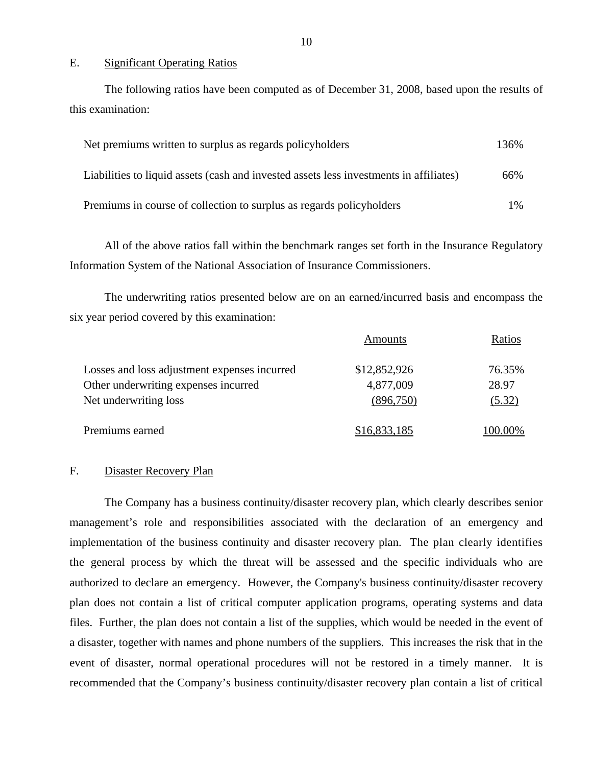#### E. Significant Operating Ratios

The following ratios have been computed as of December 31, 2008, based upon the results of this examination:

| Net premiums written to surplus as regards policyholders                               | 136%  |
|----------------------------------------------------------------------------------------|-------|
| Liabilities to liquid assets (cash and invested assets less investments in affiliates) | 66%   |
| Premiums in course of collection to surplus as regards policyholders                   | $1\%$ |

All of the above ratios fall within the benchmark ranges set forth in the Insurance Regulatory Information System of the National Association of Insurance Commissioners.

The underwriting ratios presented below are on an earned/incurred basis and encompass the six year period covered by this examination:

|                                              | Amounts      | Ratios  |
|----------------------------------------------|--------------|---------|
| Losses and loss adjustment expenses incurred | \$12,852,926 | 76.35%  |
| Other underwriting expenses incurred         | 4,877,009    | 28.97   |
| Net underwriting loss                        | (896,750)    | (5.32)  |
| Premiums earned                              | \$16,833,185 | 100.00% |

### F. Disaster Recovery Plan

The Company has a business continuity/disaster recovery plan, which clearly describes senior management's role and responsibilities associated with the declaration of an emergency and implementation of the business continuity and disaster recovery plan. The plan clearly identifies the general process by which the threat will be assessed and the specific individuals who are authorized to declare an emergency. However, the Company's business continuity/disaster recovery plan does not contain a list of critical computer application programs, operating systems and data files. Further, the plan does not contain a list of the supplies, which would be needed in the event of a disaster, together with names and phone numbers of the suppliers. This increases the risk that in the event of disaster, normal operational procedures will not be restored in a timely manner. It is recommended that the Company's business continuity/disaster recovery plan contain a list of critical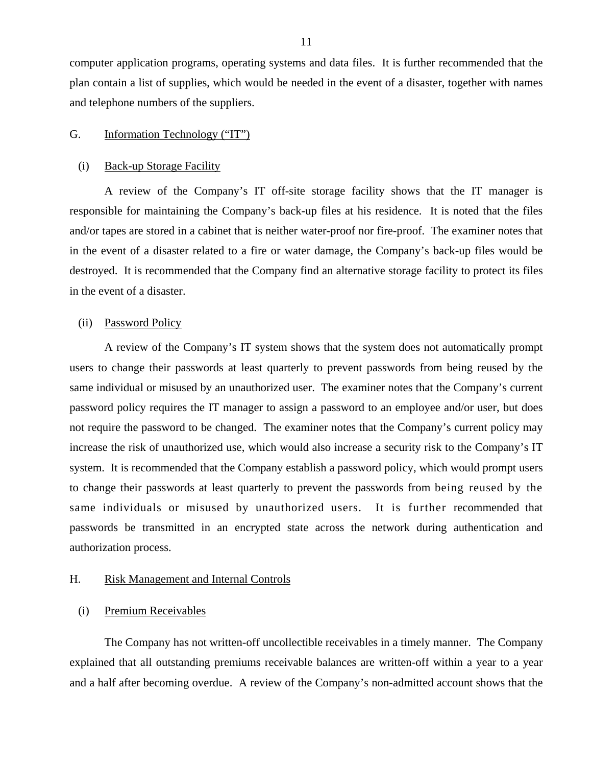<span id="page-12-0"></span>computer application programs, operating systems and data files. It is further recommended that the plan contain a list of supplies, which would be needed in the event of a disaster, together with names and telephone numbers of the suppliers.

### G. Information Technology ("IT")

#### (i) Back-up Storage Facility

A review of the Company's IT off-site storage facility shows that the IT manager is responsible for maintaining the Company's back-up files at his residence. It is noted that the files and/or tapes are stored in a cabinet that is neither water-proof nor fire-proof. The examiner notes that in the event of a disaster related to a fire or water damage, the Company's back-up files would be destroyed. It is recommended that the Company find an alternative storage facility to protect its files in the event of a disaster.

#### (ii) Password Policy

A review of the Company's IT system shows that the system does not automatically prompt users to change their passwords at least quarterly to prevent passwords from being reused by the same individual or misused by an unauthorized user. The examiner notes that the Company's current password policy requires the IT manager to assign a password to an employee and/or user, but does not require the password to be changed. The examiner notes that the Company's current policy may increase the risk of unauthorized use, which would also increase a security risk to the Company's IT system. It is recommended that the Company establish a password policy, which would prompt users to change their passwords at least quarterly to prevent the passwords from being reused by the same individuals or misused by unauthorized users. It is further recommended that passwords be transmitted in an encrypted state across the network during authentication and authorization process.

#### H. Risk Management and Internal Controls

#### (i) Premium Receivables

The Company has not written-off uncollectible receivables in a timely manner. The Company explained that all outstanding premiums receivable balances are written-off within a year to a year and a half after becoming overdue. A review of the Company's non-admitted account shows that the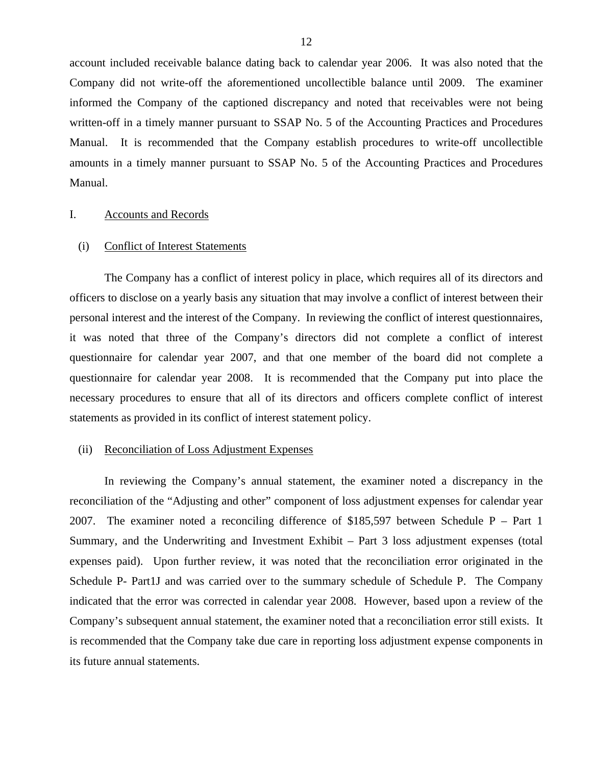<span id="page-13-0"></span>account included receivable balance dating back to calendar year 2006. It was also noted that the Company did not write-off the aforementioned uncollectible balance until 2009. The examiner informed the Company of the captioned discrepancy and noted that receivables were not being written-off in a timely manner pursuant to SSAP No. 5 of the Accounting Practices and Procedures Manual. It is recommended that the Company establish procedures to write-off uncollectible amounts in a timely manner pursuant to SSAP No. 5 of the Accounting Practices and Procedures Manual.

#### I. Accounts and Records

#### (i) Conflict of Interest Statements

The Company has a conflict of interest policy in place, which requires all of its directors and officers to disclose on a yearly basis any situation that may involve a conflict of interest between their personal interest and the interest of the Company. In reviewing the conflict of interest questionnaires, it was noted that three of the Company's directors did not complete a conflict of interest questionnaire for calendar year 2007, and that one member of the board did not complete a questionnaire for calendar year 2008. It is recommended that the Company put into place the necessary procedures to ensure that all of its directors and officers complete conflict of interest statements as provided in its conflict of interest statement policy.

#### (ii) Reconciliation of Loss Adjustment Expenses

In reviewing the Company's annual statement, the examiner noted a discrepancy in the reconciliation of the "Adjusting and other" component of loss adjustment expenses for calendar year 2007. The examiner noted a reconciling difference of \$185,597 between Schedule P – Part 1 Summary, and the Underwriting and Investment Exhibit – Part 3 loss adjustment expenses (total expenses paid). Upon further review, it was noted that the reconciliation error originated in the Schedule P- Part1J and was carried over to the summary schedule of Schedule P. The Company indicated that the error was corrected in calendar year 2008. However, based upon a review of the Company's subsequent annual statement, the examiner noted that a reconciliation error still exists. It is recommended that the Company take due care in reporting loss adjustment expense components in its future annual statements.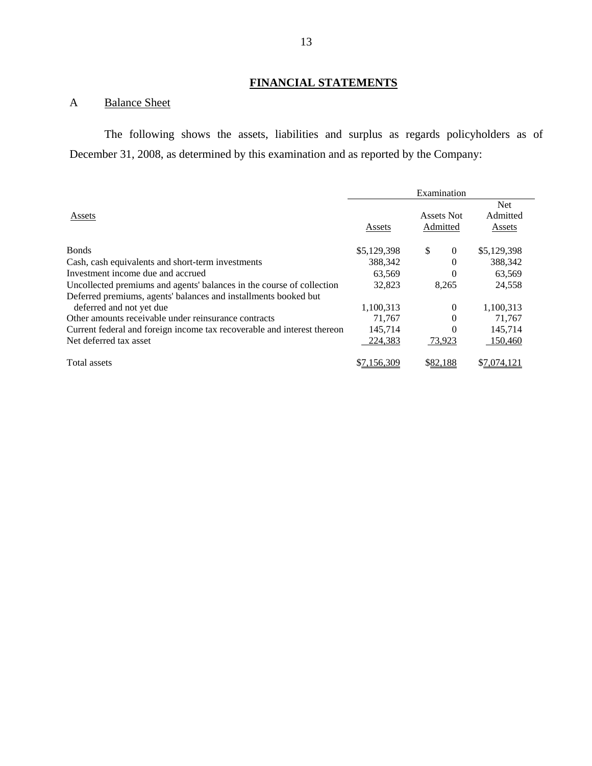# **FINANCIAL STATEMENTS**

## A Balance Sheet

The following shows the assets, liabilities and surplus as regards policyholders as of December 31, 2008, as determined by this examination and as reported by the Company:

|                                                                         |             | Examination                   |                                  |
|-------------------------------------------------------------------------|-------------|-------------------------------|----------------------------------|
| Assets                                                                  | Assets      | <b>Assets Not</b><br>Admitted | <b>Net</b><br>Admitted<br>Assets |
| <b>B</b> onds                                                           | \$5,129,398 | \$<br>$\theta$                | \$5,129,398                      |
| Cash, cash equivalents and short-term investments                       | 388,342     | 0                             | 388,342                          |
| Investment income due and accrued                                       | 63,569      | 0                             | 63,569                           |
| Uncollected premiums and agents' balances in the course of collection   | 32,823      | 8,265                         | 24,558                           |
| Deferred premiums, agents' balances and installments booked but         |             |                               |                                  |
| deferred and not yet due                                                | 1,100,313   | 0                             | 1,100,313                        |
| Other amounts receivable under reinsurance contracts                    | 71,767      | 0                             | 71,767                           |
| Current federal and foreign income tax recoverable and interest thereon | 145,714     | 0                             | 145,714                          |
| Net deferred tax asset                                                  | 224,383     | 73,923                        | 150,460                          |
| Total assets                                                            | \$7.156.309 |                               | \$7,074,121                      |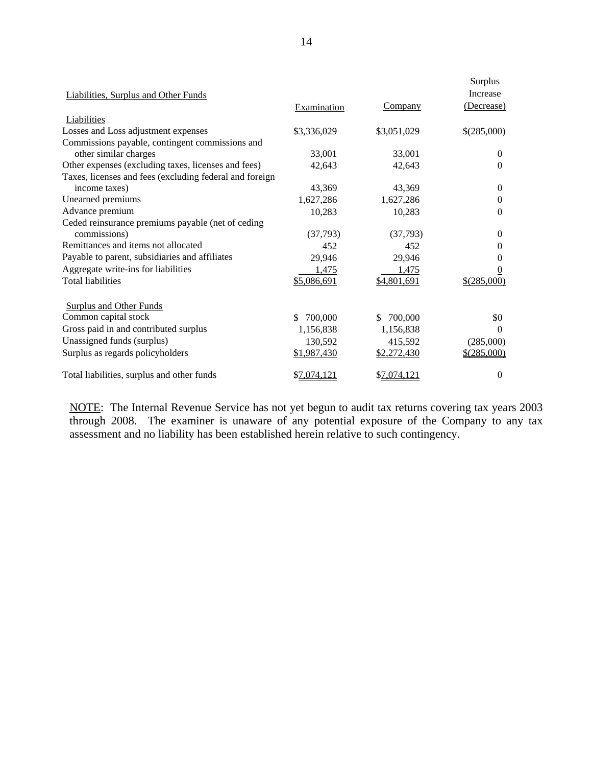|                                                         |               |                | Surplus<br><b>Increase</b> |
|---------------------------------------------------------|---------------|----------------|----------------------------|
| Liabilities, Surplus and Other Funds                    | Examination   | Company        | (Decrease)                 |
| Liabilities                                             |               |                |                            |
| Losses and Loss adjustment expenses                     | \$3,336,029   | \$3,051,029    | \$(285,000)                |
| Commissions payable, contingent commissions and         |               |                |                            |
| other similar charges                                   | 33,001        | 33,001         | $\Omega$                   |
| Other expenses (excluding taxes, licenses and fees)     | 42,643        | 42,643         | $\Omega$                   |
| Taxes, licenses and fees (excluding federal and foreign |               |                |                            |
| income taxes)                                           | 43,369        | 43,369         | $\Omega$                   |
| Unearned premiums                                       | 1,627,286     | 1,627,286      | $\mathbf{0}$               |
| Advance premium                                         | 10,283        | 10,283         | $\Omega$                   |
| Ceded reinsurance premiums payable (net of ceding       |               |                | $\Omega$                   |
| commissions)<br>Remittances and items not allocated     | (37,793)      | (37,793)       |                            |
|                                                         | 452           | 452            | $\Omega$                   |
| Payable to parent, subsidiaries and affiliates          | 29,946        | 29,946         | $\Omega$                   |
| Aggregate write-ins for liabilities                     | 1,475         | 1,475          | $\theta$                   |
| <b>Total liabilities</b>                                | \$5,086,691   | \$4,801,691    | $$$ (285,000)              |
| <b>Surplus and Other Funds</b>                          |               |                |                            |
| Common capital stock                                    | 700,000<br>\$ | 700,000<br>\$. | \$0                        |
| Gross paid in and contributed surplus                   | 1,156,838     | 1,156,838      | $\Omega$                   |
| Unassigned funds (surplus)                              | 130,592       | 415,592        | (285,000)                  |
| Surplus as regards policyholders                        | \$1,987,430   | \$2,272,430    | $$$ (285,000)              |
| Total liabilities, surplus and other funds              | \$7,074,121   | \$7,074,121    | $\boldsymbol{0}$           |

NOTE: The Internal Revenue Service has not yet begun to audit tax returns covering tax years 2003 through 2008. The examiner is unaware of any potential exposure of the Company to any tax assessment and no liability has been established herein relative to such contingency.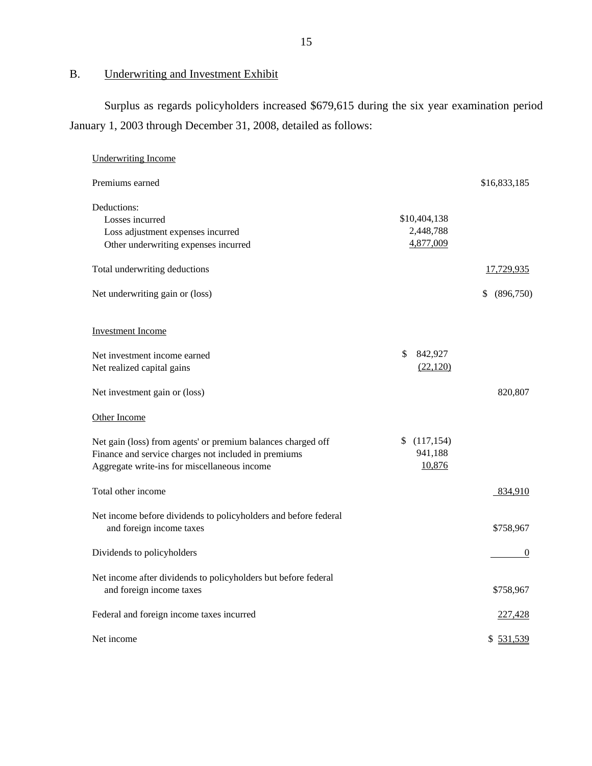# <span id="page-16-0"></span>B. Underwriting and Investment Exhibit

Surplus as regards policyholders increased \$679,615 during the six year examination period January 1, 2003 through December 31, 2008, detailed as follows:

| <b>Underwriting Income</b>                                                                                                                                           |                                        |              |
|----------------------------------------------------------------------------------------------------------------------------------------------------------------------|----------------------------------------|--------------|
| Premiums earned                                                                                                                                                      |                                        | \$16,833,185 |
| Deductions:<br>Losses incurred<br>Loss adjustment expenses incurred<br>Other underwriting expenses incurred                                                          | \$10,404,138<br>2,448,788<br>4,877,009 |              |
| Total underwriting deductions                                                                                                                                        |                                        | 17,729,935   |
| Net underwriting gain or (loss)                                                                                                                                      |                                        | \$ (896,750) |
| <b>Investment Income</b>                                                                                                                                             |                                        |              |
| Net investment income earned<br>Net realized capital gains                                                                                                           | \$<br>842,927<br>(22, 120)             |              |
| Net investment gain or (loss)                                                                                                                                        |                                        | 820,807      |
| Other Income                                                                                                                                                         |                                        |              |
| Net gain (loss) from agents' or premium balances charged off<br>Finance and service charges not included in premiums<br>Aggregate write-ins for miscellaneous income | \$(117,154)<br>941,188<br>10,876       |              |
| Total other income                                                                                                                                                   |                                        | 834,910      |
| Net income before dividends to policyholders and before federal<br>and foreign income taxes                                                                          |                                        | \$758,967    |
| Dividends to policyholders                                                                                                                                           |                                        | $\theta$     |
| Net income after dividends to policyholders but before federal<br>and foreign income taxes                                                                           |                                        | \$758,967    |
| Federal and foreign income taxes incurred                                                                                                                            |                                        | 227,428      |
| Net income                                                                                                                                                           |                                        | \$531,539    |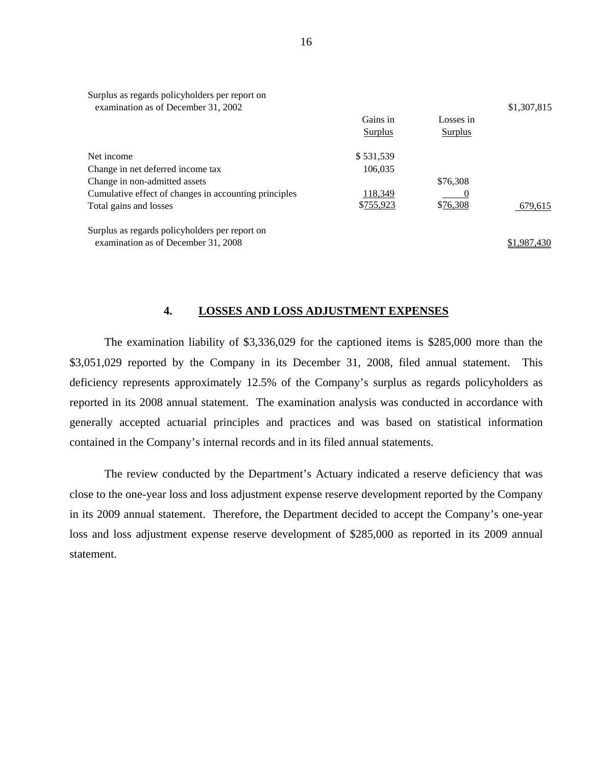| Surplus as regards policyholders per report on<br>examination as of December 31, 2002 |           |           | \$1,307,815 |
|---------------------------------------------------------------------------------------|-----------|-----------|-------------|
|                                                                                       | Gains in  | Losses in |             |
|                                                                                       | Surplus   | Surplus   |             |
| Net income                                                                            | \$531,539 |           |             |
| Change in net deferred income tax                                                     | 106,035   |           |             |
| Change in non-admitted assets                                                         |           | \$76,308  |             |
| Cumulative effect of changes in accounting principles                                 | 118,349   |           |             |
| Total gains and losses                                                                | \$755,923 | \$76,308  | 679.615     |
| Surplus as regards policyholders per report on                                        |           |           |             |
| examination as of December 31, 2008                                                   |           |           | \$1,987,430 |

## **4. LOSSES AND LOSS ADJUSTMENT EXPENSES**

The examination liability of \$3,336,029 for the captioned items is \$285,000 more than the \$3,051,029 reported by the Company in its December 31, 2008, filed annual statement. This deficiency represents approximately 12.5% of the Company's surplus as regards policyholders as reported in its 2008 annual statement. The examination analysis was conducted in accordance with generally accepted actuarial principles and practices and was based on statistical information contained in the Company's internal records and in its filed annual statements.

The review conducted by the Department's Actuary indicated a reserve deficiency that was close to the one-year loss and loss adjustment expense reserve development reported by the Company in its 2009 annual statement. Therefore, the Department decided to accept the Company's one-year loss and loss adjustment expense reserve development of \$285,000 as reported in its 2009 annual statement.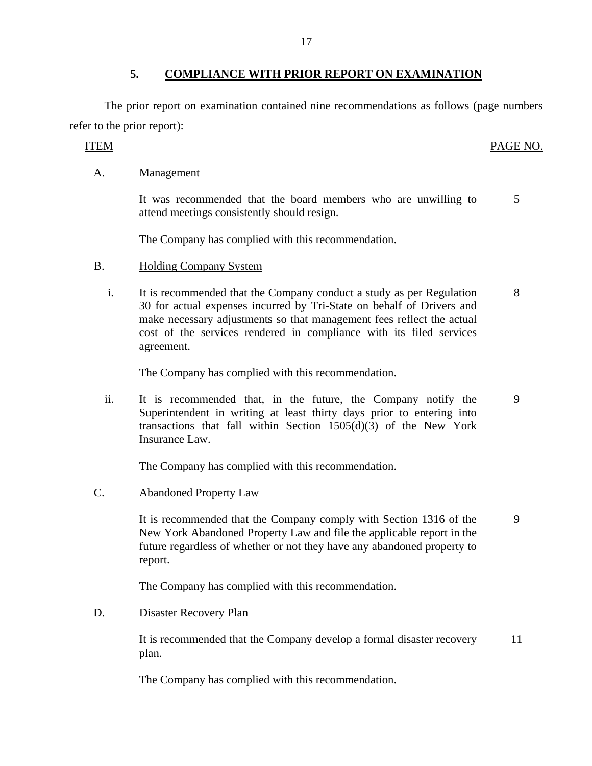## **5. COMPLIANCE WITH PRIOR REPORT ON EXAMINATION**

<span id="page-18-0"></span>The prior report on examination contained nine recommendations as follows (page numbers refer to the prior report):

### A. Management

It was recommended that the board members who are unwilling to attend meetings consistently should resign. 5

The Company has complied with this recommendation.

- B. Holding Company System
	- i. It is recommended that the Company conduct a study as per Regulation 30 for actual expenses incurred by Tri-State on behalf of Drivers and make necessary adjustments so that management fees reflect the actual cost of the services rendered in compliance with its filed services agreement. 8

The Company has complied with this recommendation.

ii. It is recommended that, in the future, the Company notify the Superintendent in writing at least thirty days prior to entering into transactions that fall within Section 1505(d)(3) of the New York Insurance Law. 9

The Company has complied with this recommendation.

C. Abandoned Property Law

It is recommended that the Company comply with Section 1316 of the New York Abandoned Property Law and file the applicable report in the future regardless of whether or not they have any abandoned property to report. 9

The Company has complied with this recommendation.

D. Disaster Recovery Plan

It is recommended that the Company develop a formal disaster recovery plan. 11

The Company has complied with this recommendation.

#### ITEM PAGE NO.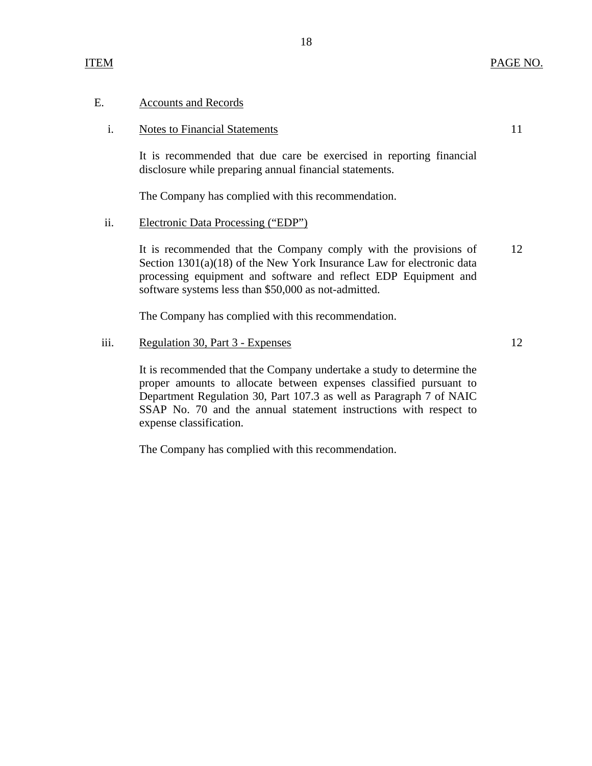### E. Accounts and Records

## i. Notes to Financial Statements 11

It is recommended that due care be exercised in reporting financial disclosure while preparing annual financial statements.

The Company has complied with this recommendation.

### ii. Electronic Data Processing ("EDP")

It is recommended that the Company comply with the provisions of 12 Section 1301(a)(18) of the New York Insurance Law for electronic data processing equipment and software and reflect EDP Equipment and software systems less than \$50,000 as not-admitted.

The Company has complied with this recommendation.

### iii. Regulation 30, Part 3 - Expenses 12

It is recommended that the Company undertake a study to determine the proper amounts to allocate between expenses classified pursuant to Department Regulation 30, Part 107.3 as well as Paragraph 7 of NAIC SSAP No. 70 and the annual statement instructions with respect to expense classification.

The Company has complied with this recommendation.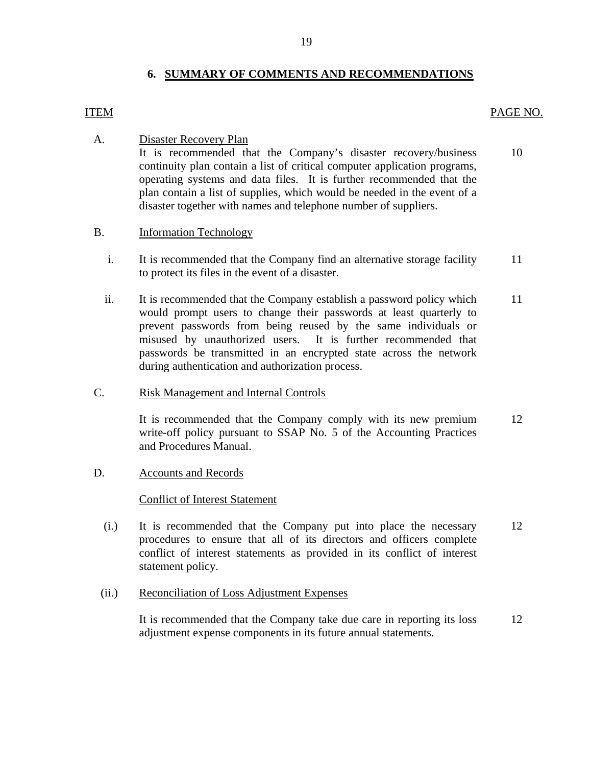## **6. SUMMARY OF COMMENTS AND RECOMMENDATIONS**

#### <span id="page-20-0"></span>ITEM PAGE NO.

A. Disaster Recovery Plan It is recommended that the Company's disaster recovery/business 10 continuity plan contain a list of critical computer application programs, operating systems and data files. It is further recommended that the plan contain a list of supplies, which would be needed in the event of a disaster together with names and telephone number of suppliers.

### B. Information Technology

- i. It is recommended that the Company find an alternative storage facility 11 to protect its files in the event of a disaster.
- ii. It is recommended that the Company establish a password policy which 11 would prompt users to change their passwords at least quarterly to prevent passwords from being reused by the same individuals or misused by unauthorized users. It is further recommended that passwords be transmitted in an encrypted state across the network during authentication and authorization process.
- C. Risk Management and Internal Controls

It is recommended that the Company comply with its new premium 12 write-off policy pursuant to SSAP No. 5 of the Accounting Practices and Procedures Manual.

D. Accounts and Records

#### Conflict of Interest Statement

- (i.) It is recommended that the Company put into place the necessary 12 procedures to ensure that all of its directors and officers complete conflict of interest statements as provided in its conflict of interest statement policy.
- (ii.) Reconciliation of Loss Adjustment Expenses

It is recommended that the Company take due care in reporting its loss 12 adjustment expense components in its future annual statements.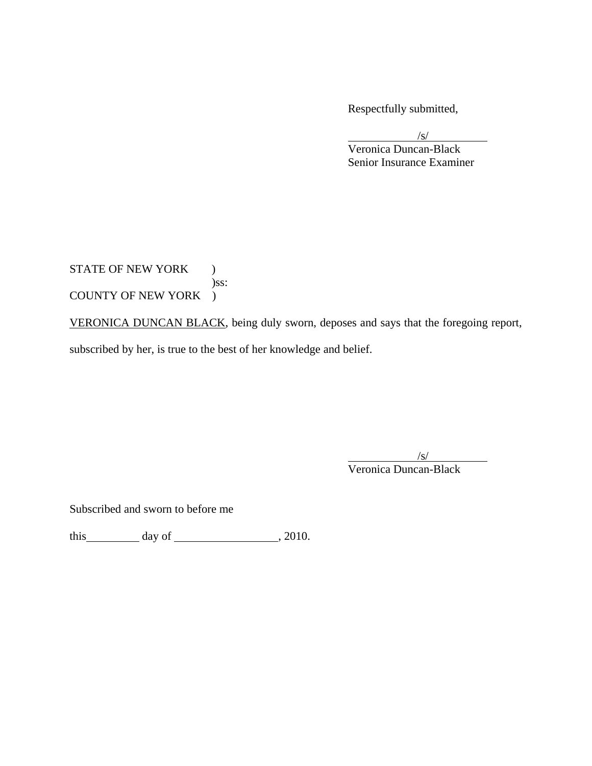Respectfully submitted,

 $\sqrt{s}$ /s/ Veronica Duncan-Black Senior Insurance Examiner

STATE OF NEW YORK ) )ss: COUNTY OF NEW YORK )

VERONICA DUNCAN BLACK, being duly sworn, deposes and says that the foregoing report,

subscribed by her, is true to the best of her knowledge and belief.

 $\sqrt{s}$ Veronica Duncan-Black

Subscribed and sworn to before me

this  $\qquad \qquad$  day of  $\qquad \qquad$  , 2010.